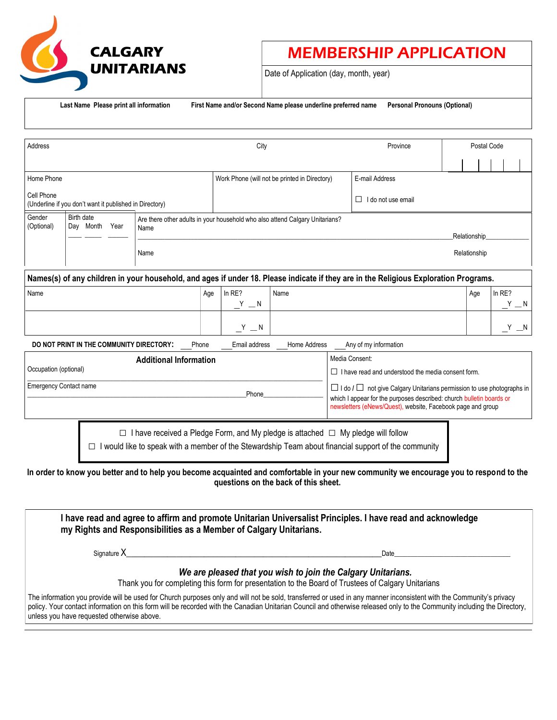

## MEMBERSHIP APPLICATION

Date of Application (day, month, year)

**Last Name Please print all information First Name and/or Second Name please underline preferred name Personal Pronouns (Optional)**

| Address                                                                                                                              |                                                                                                                                      |                                                                                       |     | City                                          |      |                                                                                                                                                                                                                        | Province                                                                                           | Postal Code |     |         |
|--------------------------------------------------------------------------------------------------------------------------------------|--------------------------------------------------------------------------------------------------------------------------------------|---------------------------------------------------------------------------------------|-----|-----------------------------------------------|------|------------------------------------------------------------------------------------------------------------------------------------------------------------------------------------------------------------------------|----------------------------------------------------------------------------------------------------|-------------|-----|---------|
|                                                                                                                                      |                                                                                                                                      |                                                                                       |     |                                               |      |                                                                                                                                                                                                                        |                                                                                                    |             |     |         |
| Home Phone                                                                                                                           |                                                                                                                                      |                                                                                       |     | Work Phone (will not be printed in Directory) |      |                                                                                                                                                                                                                        | E-mail Address                                                                                     |             |     |         |
| Cell Phone<br>(Underline if you don't want it published in Directory)                                                                |                                                                                                                                      |                                                                                       |     |                                               |      |                                                                                                                                                                                                                        | I do not use email<br>$\perp$                                                                      |             |     |         |
| Gender<br>(Optional)                                                                                                                 | Birth date<br>Are there other adults in your household who also attend Calgary Unitarians?<br>Day Month Year<br>Name<br>Relationship |                                                                                       |     |                                               |      |                                                                                                                                                                                                                        |                                                                                                    |             |     |         |
|                                                                                                                                      |                                                                                                                                      | Relationship<br>Name                                                                  |     |                                               |      |                                                                                                                                                                                                                        |                                                                                                    |             |     |         |
| Names(s) of any children in your household, and ages if under 18. Please indicate if they are in the Religious Exploration Programs. |                                                                                                                                      |                                                                                       |     |                                               |      |                                                                                                                                                                                                                        |                                                                                                    |             |     |         |
| Name                                                                                                                                 |                                                                                                                                      |                                                                                       | Age | In $RE$ ?                                     | Name |                                                                                                                                                                                                                        |                                                                                                    |             | Age | In RE?  |
|                                                                                                                                      |                                                                                                                                      |                                                                                       |     | $Y - N$                                       |      |                                                                                                                                                                                                                        |                                                                                                    |             |     | $Y - N$ |
|                                                                                                                                      |                                                                                                                                      |                                                                                       |     | $Y = N$                                       |      |                                                                                                                                                                                                                        |                                                                                                    |             |     | Y       |
| DO NOT PRINT IN THE COMMUNITY DIRECTORY:<br>Email address<br>Home Address<br>Any of my information<br>Phone                          |                                                                                                                                      |                                                                                       |     |                                               |      |                                                                                                                                                                                                                        |                                                                                                    |             |     |         |
| <b>Additional Information</b>                                                                                                        |                                                                                                                                      |                                                                                       |     |                                               |      | Media Consent:                                                                                                                                                                                                         |                                                                                                    |             |     |         |
| Occupation (optional)                                                                                                                |                                                                                                                                      |                                                                                       |     |                                               |      |                                                                                                                                                                                                                        | $\Box$ I have read and understood the media consent form.                                          |             |     |         |
| <b>Emergency Contact name</b><br>Phone                                                                                               |                                                                                                                                      |                                                                                       |     |                                               |      | $\Box$ I do $\Box$ not give Calgary Unitarians permission to use photographs in<br>which I appear for the purposes described: church bulletin boards or<br>newsletters (eNews/Quest), website, Facebook page and group |                                                                                                    |             |     |         |
|                                                                                                                                      | $\Box$                                                                                                                               | I have received a Pledge Form, and My pledge is attached $\Box$ My pledge will follow |     |                                               |      |                                                                                                                                                                                                                        | would like to speak with a member of the Stewardship Team about financial support of the community |             |     |         |

**In order to know you better and to help you become acquainted and comfortable in your new community we encourage you to respond to the questions on the back of this sheet.** 

| I have read and agree to affirm and promote Unitarian Universalist Principles. I have read and acknowledge<br>my Rights and Responsibilities as a Member of Calgary Unitarians. |                                                                                                                                                                                                                                                                                                                                                 |
|---------------------------------------------------------------------------------------------------------------------------------------------------------------------------------|-------------------------------------------------------------------------------------------------------------------------------------------------------------------------------------------------------------------------------------------------------------------------------------------------------------------------------------------------|
| Signature $X$                                                                                                                                                                   | Date                                                                                                                                                                                                                                                                                                                                            |
|                                                                                                                                                                                 | We are pleased that you wish to join the Calgary Unitarians.<br>Thank you for completing this form for presentation to the Board of Trustees of Calgary Unitarians                                                                                                                                                                              |
| unless you have requested otherwise above.                                                                                                                                      | The information you provide will be used for Church purposes only and will not be sold, transferred or used in any manner inconsistent with the Community's privacy<br>policy. Your contact information on this form will be recorded with the Canadian Unitarian Council and otherwise released only to the Community including the Directory, |
|                                                                                                                                                                                 |                                                                                                                                                                                                                                                                                                                                                 |